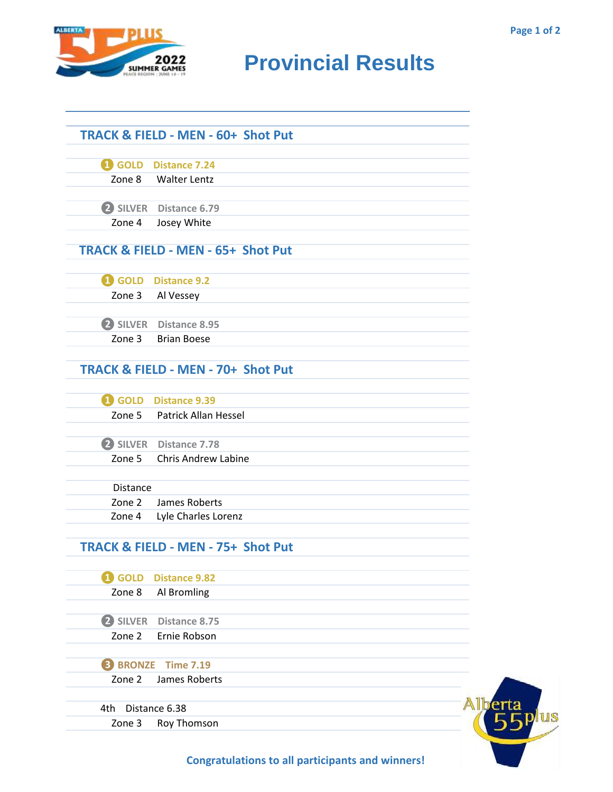

## **RESULTS** BROUND **Provincial Results**

|                  | <b>TRACK &amp; FIELD - MEN - 60+ Shot Put</b> |  |
|------------------|-----------------------------------------------|--|
| <b>i</b> GOLD    | <b>Distance 7.24</b>                          |  |
| Zone 8           | Walter Lentz                                  |  |
|                  | 2 SILVER Distance 6.79                        |  |
| Zone 4           | Josey White                                   |  |
|                  | <b>TRACK &amp; FIELD - MEN - 65+ Shot Put</b> |  |
|                  | 4 GOLD Distance 9.2                           |  |
| Zone 3           | Al Vessey                                     |  |
|                  | SILVER Distance 8.95                          |  |
| Zone 3           | <b>Brian Boese</b>                            |  |
|                  | <b>TRACK &amp; FIELD - MEN - 70+ Shot Put</b> |  |
|                  | <b>1</b> GOLD Distance 9.39                   |  |
| Zone 5           | Patrick Allan Hessel                          |  |
|                  | SILVER Distance 7.78                          |  |
|                  | Zone 5 Chris Andrew Labine                    |  |
| <b>Distance</b>  |                                               |  |
| Zone 2           | James Roberts                                 |  |
| Zone 4           | Lyle Charles Lorenz                           |  |
|                  | TRACK & FIELD - MEN - 75+ Shot Put            |  |
| <b>GOLD</b><br>n | <b>Distance 9.82</b>                          |  |
| Zone 8           | Al Bromling                                   |  |
| 2 SILVER         | Distance 8.75                                 |  |
| Zone 2           | Ernie Robson                                  |  |
|                  | <b>B</b> BRONZE Time 7.19                     |  |
| Zone 2           | James Roberts                                 |  |
| 4th              | Distance 6.38                                 |  |
| Zone 3           | Roy Thomson                                   |  |